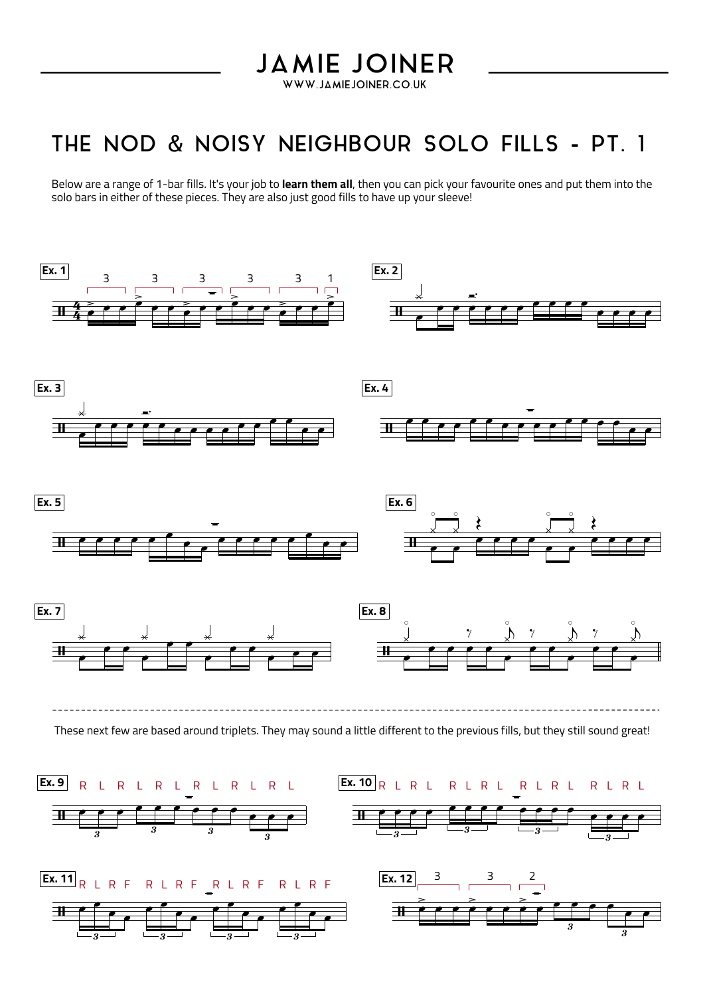## **JAMIE JOINER**

WWW.JAMIEJOINER.CO.UK

### THE NOD & NOISY NEIGHBOUR SOLO FILLS - PT. 1

Below are a range of 1-bar fills. It's your job to **learn them all**, then you can pick your favourite ones and put them into the solo bars in either of these pieces. They are also just good fills to have up your sleeve!

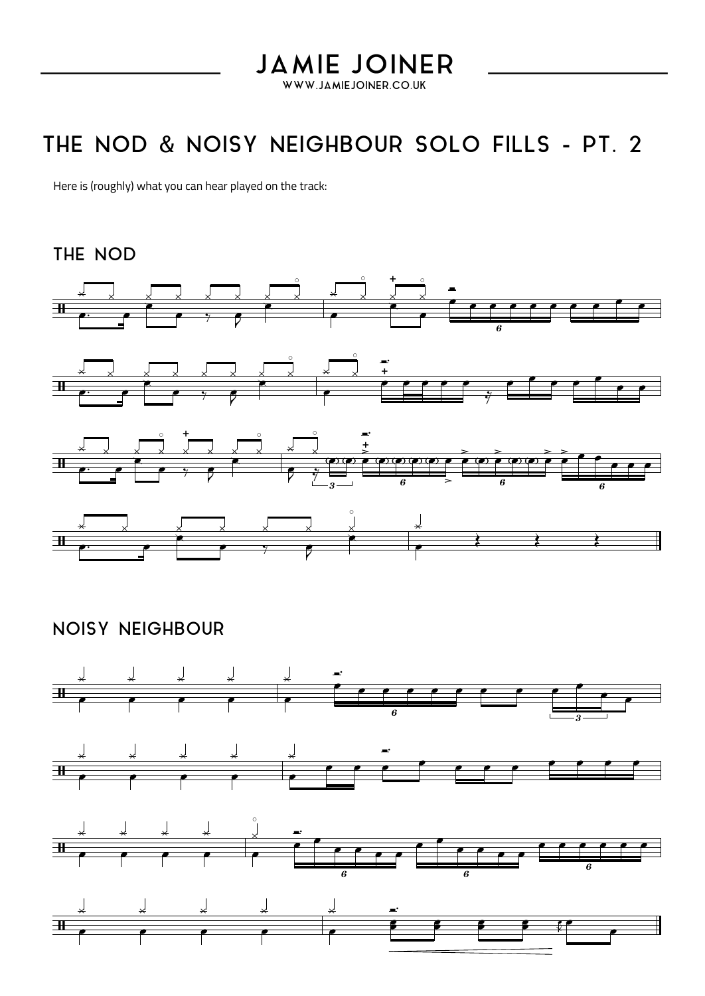#### **JAMIE JOINER** WWW.JAMIEJOINER.CO.UK

### THE NOD & NOISY NEIGHBOUR SOLO FILLS - PT. 2

Here is (roughly) what you can hear played on the track:

#### THE NOD



### **NOISY NEIGHBOUR**